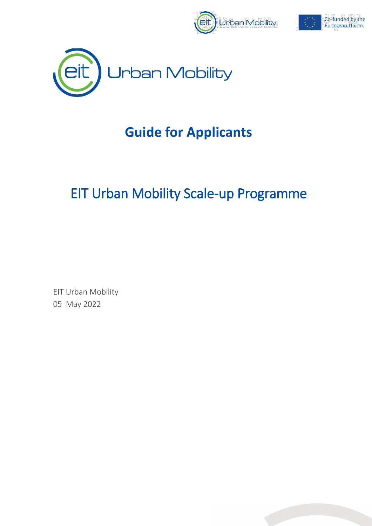





# **Guide for Applicants**

# EIT Urban Mobility Scale-up Programme

EIT Urban Mobility 05 May 2022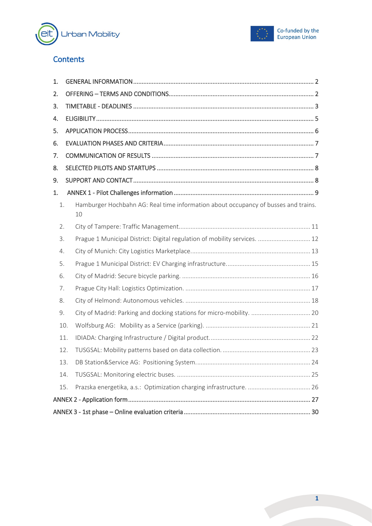



### **Contents**

| 1. |     |                                                                                          |  |
|----|-----|------------------------------------------------------------------------------------------|--|
| 2. |     |                                                                                          |  |
| 3. |     |                                                                                          |  |
| 4. |     |                                                                                          |  |
| 5. |     |                                                                                          |  |
| 6. |     |                                                                                          |  |
| 7. |     |                                                                                          |  |
| 8. |     |                                                                                          |  |
| 9. |     |                                                                                          |  |
| 1. |     |                                                                                          |  |
| 1. |     | Hamburger Hochbahn AG: Real time information about occupancy of busses and trains.<br>10 |  |
| 2. |     |                                                                                          |  |
| 3. |     | Prague 1 Municipal District: Digital regulation of mobility services.  12                |  |
| 4. |     |                                                                                          |  |
| 5. |     |                                                                                          |  |
| 6. |     |                                                                                          |  |
| 7. |     |                                                                                          |  |
| 8. |     |                                                                                          |  |
| 9. |     | City of Madrid: Parking and docking stations for micro-mobility.  20                     |  |
|    | 10. |                                                                                          |  |
|    | 11. |                                                                                          |  |
|    | 12. |                                                                                          |  |
|    | 13. |                                                                                          |  |
|    | 14. |                                                                                          |  |
|    | 15. |                                                                                          |  |
|    |     |                                                                                          |  |
|    |     |                                                                                          |  |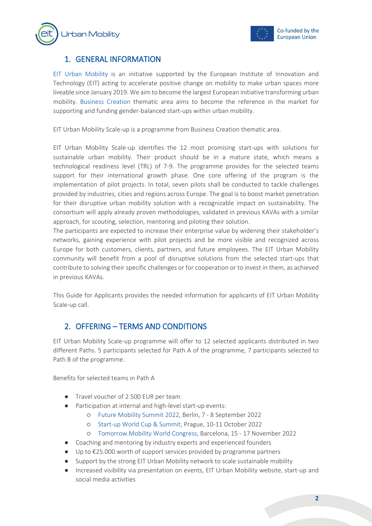



### <span id="page-2-0"></span>1. GENERAL INFORMATION

[EIT Urban Mobility](https://www.eiturbanmobility.eu/) is an initiative supported by the European Institute of Innovation and Technology (EIT) acting to accelerate positive change on mobility to make urban spaces more liveable since January 2019. We aim to become the largest European initiative transforming urban mobility. [Business Creation](https://www.eiturbanmobility.eu/business-creation/) thematic area aims to become the reference in the market for supporting and funding gender-balanced start-ups within urban mobility.

EIT Urban Mobility Scale-up is a programme from Business Creation thematic area.

EIT Urban Mobility Scale-up identifies the 12 most promising start-ups with solutions for sustainable urban mobility. Their product should be in a mature state, which means a technological readiness level (TRL) of 7-9. The programme provides for the selected teams support for their international growth phase. One core offering of the program is the implementation of pilot projects. In total, seven pilots shall be conducted to tackle challenges provided by industries, cities and regions across Europe. The goal is to boost market penetration for their disruptive urban mobility solution with a recognizable impact on sustainability. The consortium will apply already proven methodologies, validated in previous KAVAs with a similar approach, for scouting, selection, mentoring and piloting their solution.

The participants are expected to increase their enterprise value by widening their stakeholder's networks, gaining experience with pilot projects and be more visible and recognized across Europe for both customers, clients, partners, and future employees. The EIT Urban Mobility community will benefit from a pool of disruptive solutions from the selected start-ups that contribute to solving their specific challenges or for cooperation or to invest in them, as achieved in previous KAVAs.

This Guide for Applicants provides the needed information for applicants of EIT Urban Mobility Scale-up call.

### <span id="page-2-1"></span>2. OFFERING – TERMS AND CONDITIONS

EIT Urban Mobility Scale-up programme will offer to 12 selected applicants distributed in two different Paths. 5 participants selected for Path A of the programme, 7 participants selected to Path B of the programme.

Benefits for selected teams in Path A

- Travel voucher of 2.500 EUR per team
- Participation at internal and high-level start-up events:
	- [Future Mobility Summit 2022,](https://veranstaltungen.tagesspiegel.de/event/6a817093-ad81-4644-921d-4bcc1576d9e1/summary) Berlin, 7 8 September 2022
	- Start-up [World Cup & Summit,](https://www.swcsummit.com/) Prague, 10-11 October 2022
	- [Tomorrow.Mobility World Congress,](https://www.tomorrowmobility.com/) Barcelona, 15 17 November 2022
- Coaching and mentoring by industry experts and experienced founders
- Up to €25.000 worth of support services provided by programme partners
- Support by the strong EIT Urban Mobility network to scale sustainable mobility
- Increased visibility via presentation on events, EIT Urban Mobility website, start-up and social media activities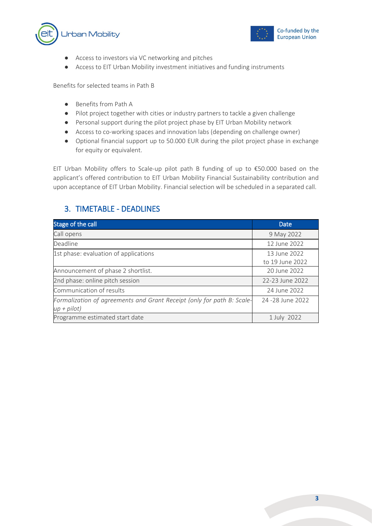



- Access to investors via VC networking and pitches
- Access to EIT Urban Mobility investment initiatives and funding instruments

Benefits for selected teams in Path B

- Benefits from Path A
- Pilot project together with cities or industry partners to tackle a given challenge
- Personal support during the pilot project phase by EIT Urban Mobility network
- Access to co-working spaces and innovation labs (depending on challenge owner)
- Optional financial support up to 50.000 EUR during the pilot project phase in exchange for equity or equivalent.

EIT Urban Mobility offers to Scale-up pilot path B funding of up to €50.000 based on the applicant's offered contribution to EIT Urban Mobility Financial Sustainability contribution and upon acceptance of EIT Urban Mobility. Financial selection will be scheduled in a separated call.

### <span id="page-3-0"></span>3. TIMETABLE - DEADLINES

| Stage of the call                                                                       | <b>Date</b>                     |
|-----------------------------------------------------------------------------------------|---------------------------------|
| Call opens                                                                              | 9 May 2022                      |
| Deadline                                                                                | 12 June 2022                    |
| 1st phase: evaluation of applications                                                   | 13 June 2022<br>to 19 June 2022 |
| Announcement of phase 2 shortlist.                                                      | 20 June 2022                    |
| 2nd phase: online pitch session                                                         | 22-23 June 2022                 |
| Communication of results                                                                | 24 June 2022                    |
| Formalization of agreements and Grant Receipt (only for path B: Scale-<br>$up + pilot)$ | 24 - 28 June 2022               |
| Programme estimated start date                                                          | 1 July 2022                     |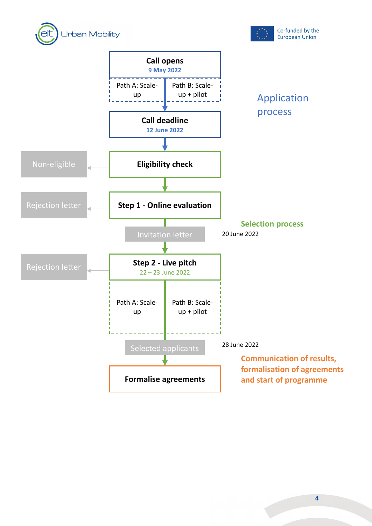



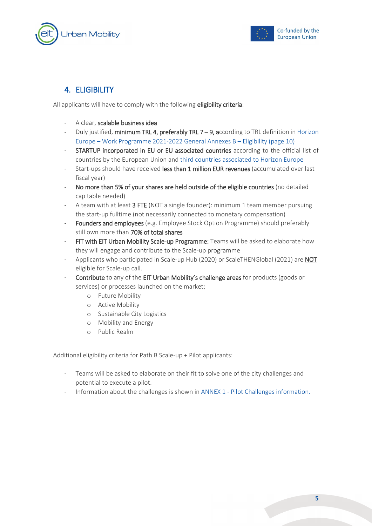



### <span id="page-5-0"></span>4. ELIGIBILITY

All applicants will have to comply with the following eligibility criteria:

- A clear, scalable business idea
- Duly justified, minimum TRL 4, preferably TRL 7 9, according to TRL definition in Horizon [Europe – Work Programme 2021-2022 General Annexes B – Eligibility \(page 10\)](https://ec.europa.eu/info/funding-tenders/opportunities/docs/2021-2027/horizon/wp-call/2021-2022/wp-13-general-annexes_horizon-2021-2022_en.pdf)
- STARTUP incorporated in EU or EU associated countries according to the official list of countries by the European Union an[d third countries associated to Horizon Europe](https://ec.europa.eu/info/funding-tenders/opportunities/docs/2021-2027/common/guidance/list-3rd-country-participation_horizon-euratom_en.pdf)
- Start-ups should have received less than 1 million EUR revenues (accumulated over last fiscal year)
- No more than 5% of your shares are held outside of the eligible countries (no detailed cap table needed)
- A team with at least 3 FTE (NOT a single founder): minimum 1 team member pursuing the start-up fulltime (not necessarily connected to monetary compensation)
- Founders and employees (e.g. Employee Stock Option Programme) should preferably still own more than 70% of total shares
- FIT with EIT Urban Mobility Scale-up Programme: Teams will be asked to elaborate how they will engage and contribute to the Scale-up programme
- Applicants who participated in Scale-up Hub (2020) or ScaleTHENGlobal (2021) are NOT eligible for Scale-up call.
- Contribute to any of the EIT Urban Mobility's challenge areas for products (goods or services) or processes launched on the market;
	- o Future Mobility
	- o Active Mobility
	- o Sustainable City Logistics
	- o Mobility and Energy
	- o Public Realm

Additional eligibility criteria for Path B Scale-up + Pilot applicants:

- Teams will be asked to elaborate on their fit to solve one of the city challenges and potential to execute a pilot.
- Information about the challenges is shown in ANNEX 1 Pilot Challenges information.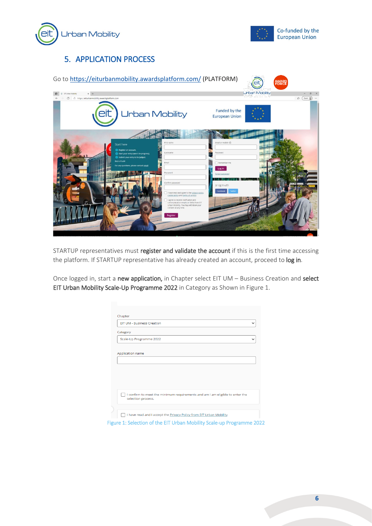



### <span id="page-6-0"></span>5. APPLICATION PROCESS



STARTUP representatives must register and validate the account if this is the first time accessing the platform. If STARTUP representative has already created an account, proceed to log in.

Once logged in, start a new application, in Chapter select EIT UM - Business Creation and select EIT Urban Mobility Scale-Up Programme 2022 in Category as Shown in [Figure 1.](#page-6-1)

<span id="page-6-1"></span>

| FIT UM - Business Creation<br>$\check{ }$                                                          |
|----------------------------------------------------------------------------------------------------|
| Category                                                                                           |
| Scale-Up Programme 2022<br>$\checkmark$                                                            |
|                                                                                                    |
| Application name                                                                                   |
|                                                                                                    |
|                                                                                                    |
|                                                                                                    |
|                                                                                                    |
|                                                                                                    |
|                                                                                                    |
| I confirm to meet the minimum requirements and am I am eligible to enter the<br>selection process. |
|                                                                                                    |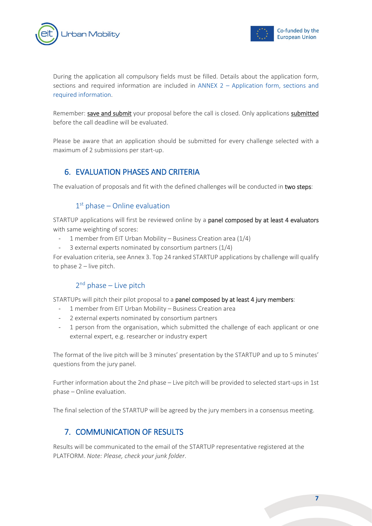



During the application all compulsory fields must be filled. Details about the application form, sections and required information are included in ANNEX 2 – Application form, sections and required information.

Remember: save and submit your proposal before the call is closed. Only applications submitted before the call deadline will be evaluated.

Please be aware that an application should be submitted for every challenge selected with a maximum of 2 submissions per start-up.

#### <span id="page-7-0"></span>6. EVALUATION PHASES AND CRITERIA

The evaluation of proposals and fit with the defined challenges will be conducted in two steps:

#### $1<sup>st</sup>$  phase – Online evaluation

STARTUP applications will first be reviewed online by a panel composed by at least 4 evaluators with same weighting of scores:

- 1 member from EIT Urban Mobility Business Creation area (1/4)
- 3 external experts nominated by consortium partners (1/4)

For evaluation criteria, see Annex 3. Top 24 ranked STARTUP applications by challenge will qualify to phase 2 – live pitch.

#### $2<sup>nd</sup>$  phase – Live pitch

STARTUPs will pitch their pilot proposal to a panel composed by at least 4 jury members:

- 1 member from EIT Urban Mobility Business Creation area
- 2 external experts nominated by consortium partners
- 1 person from the organisation, which submitted the challenge of each applicant or one external expert, e.g. researcher or industry expert

The format of the live pitch will be 3 minutes' presentation by the STARTUP and up to 5 minutes' questions from the jury panel.

Further information about the 2nd phase – Live pitch will be provided to selected start-ups in 1st phase – Online evaluation.

<span id="page-7-1"></span>The final selection of the STARTUP will be agreed by the jury members in a consensus meeting.

### 7. COMMUNICATION OF RESULTS

Results will be communicated to the email of the STARTUP representative registered at the PLATFORM. *Note: Please, check your junk folder*.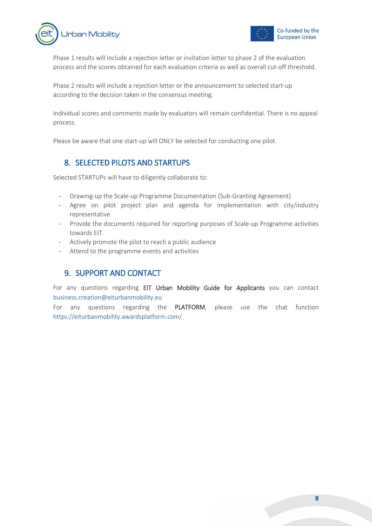



Phase 1 results will include a rejection letter or invitation letter to phase 2 of the evaluation process and the scores obtained for each evaluation criteria as well as overall cut-off threshold.

Phase 2 results will include a rejection letter or the announcement to selected start-up according to the decision taken in the consensus meeting.

Individual scores and comments made by evaluators will remain confidential. There is no appeal process.

<span id="page-8-0"></span>Please be aware that one start-up will ONLY be selected for conducting one pilot.

#### 8. SELECTED PILOTS AND STARTUPS

Selected STARTUPs will have to diligently collaborate to:

- Drawing-up the Scale-up Programme Documentation (Sub-Granting Agreement)
- Agree on pilot project plan and agenda for implementation with city/industry representative
- Provide the documents required for reporting purposes of Scale-up Programme activities towards EIT.
- Actively promote the pilot to reach a public audience
- <span id="page-8-1"></span>Attend to the programme events and activities

#### 9. SUPPORT AND CONTACT

For any questions regarding EIT Urban Mobility Guide for Applicants you can contact [business.creation@eiturbanmobility.eu](mailto:business.creation@eiturbanmobility.eu)

For any questions regarding the PLATFORM, please use the chat function <https://eiturbanmobility.awardsplatform.com/>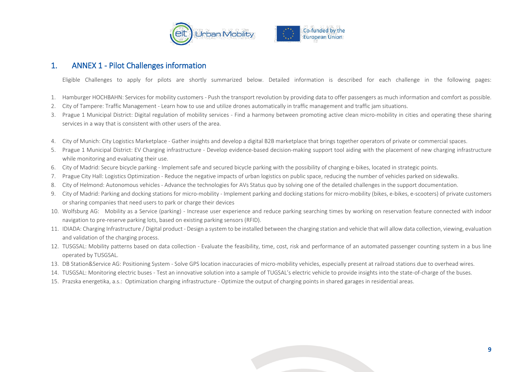

#### 1. ANNEX 1 - Pilot Challenges information

Eligible Challenges to apply for pilots are shortly summarized below. Detailed information is described for each challenge in the following pages:

- 1. Hamburger HOCHBAHN: Services for mobility customers Push the transport revolution by providing data to offer passengers as much information and comfort as possible.
- 2. City of Tampere: Traffic Management Learn how to use and utilize drones automatically in traffic management and traffic jam situations.
- 3. Prague 1 Municipal District: Digital regulation of mobility services Find a harmony between promoting active clean micro-mobility in cities and operating these sharing services in a way that is consistent with other users of the area.
- 4. City of Munich: City Logistics Marketplace Gather insights and develop a digital B2B marketplace that brings together operators of private or commercial spaces.
- 5. Prague 1 Municipal District: EV Charging infrastructure Develop evidence-based decision-making support tool aiding with the placement of new charging infrastructure while monitoring and evaluating their use.
- 6. City of Madrid: Secure bicycle parking Implement safe and secured bicycle parking with the possibility of charging e-bikes, located in strategic points.
- 7. Prague City Hall: Logistics Optimization Reduce the negative impacts of urban logistics on public space, reducing the number of vehicles parked on sidewalks.
- 8. City of Helmond: Autonomous vehicles Advance the technologies for AVs Status quo by solving one of the detailed challenges in the support documentation.
- 9. City of Madrid: Parking and docking stations for micro-mobility Implement parking and docking stations for micro-mobility (bikes, e-bikes, e-scooters) of private customers or sharing companies that need users to park or charge their devices
- <span id="page-9-0"></span>10. Wolfsburg AG: Mobility as a Service (parking) - Increase user experience and reduce parking searching times by working on reservation feature connected with indoor navigation to pre-reserve parking lots, based on existing parking sensors (RFID).
- 11. IDIADA: Charging Infrastructure / Digital product Design a system to be installed between the charging station and vehicle that will allow data collection, viewing, evaluation and validation of the charging process.
- 12. TUSGSAL: Mobility patterns based on data collection Evaluate the feasibility, time, cost, risk and performance of an automated passenger counting system in a bus line operated by TUSGSAL.
- 13. DB Station&Service AG: Positioning System Solve GPS location inaccuracies of micro-mobility vehicles, especially present at railroad stations due to overhead wires.
- 14. TUSGSAL: Monitoring electric buses Test an innovative solution into a sample of TUGSAL's electric vehicle to provide insights into the state-of-charge of the buses.
- 15. Prazska energetika, a.s.: Optimization charging infrastructure Optimize the output of charging points in shared garages in residential areas.

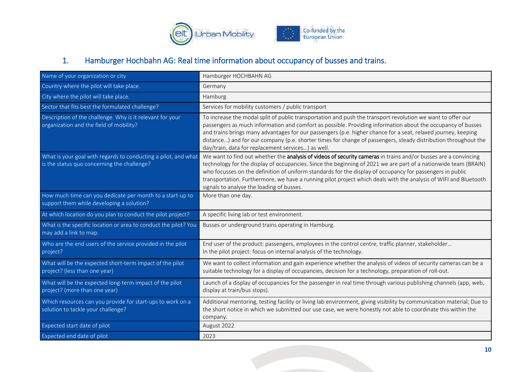

# 1. Hamburger Hochbahn AG: Real time information about occupancy of busses and trains.

<span id="page-10-0"></span>

| Name of your organization or city                                                                             | Hamburger HOCHBAHN AG                                                                                                                                                                                                                                                                                                                                                                                                                                                                                               |
|---------------------------------------------------------------------------------------------------------------|---------------------------------------------------------------------------------------------------------------------------------------------------------------------------------------------------------------------------------------------------------------------------------------------------------------------------------------------------------------------------------------------------------------------------------------------------------------------------------------------------------------------|
| Country where the pilot will take place.                                                                      | Germany                                                                                                                                                                                                                                                                                                                                                                                                                                                                                                             |
| City where the pilot will take place.                                                                         | Hamburg                                                                                                                                                                                                                                                                                                                                                                                                                                                                                                             |
| Sector that fits best the formulated challenge?                                                               | Services for mobility customers / public transport                                                                                                                                                                                                                                                                                                                                                                                                                                                                  |
| Description of the challenge. Why is it relevant for your<br>organization and the field of mobility?          | To increase the modal split of public transportation and push the transport revolution we want to offer our<br>passengers as much information and comfort as possible. Providing information about the occupancy of busses<br>and trains brings many advantages for our passengers (p.e. higher chance for a seat, relaxed journey, keeping<br>distance) and for our company (p.e. shorter times for change of passengers, steady distribution throughout the<br>day/train, data for replacement services) as well. |
| What is your goal with regards to conducting a pilot, and what<br>is the status quo concerning the challenge? | We want to find out whether the analysis of videos of security cameras in trains and/or busses are a convincing<br>technology for the display of occupancies. Since the beginning of 2021 we are part of a nationwide team (BRAIN)<br>who focusses on the definition of uniform standards for the display of occupancy for passengers in public<br>transportation. Furthermore, we have a running pilot project which deals with the analysis of WIFI and Bluetooth<br>signals to analyse the loading of busses.    |
| How much time can you dedicate per month to a start-up to<br>support them while developing a solution?        | More than one day.                                                                                                                                                                                                                                                                                                                                                                                                                                                                                                  |
| At which location do you plan to conduct the pilot project?                                                   | A specific living lab or test environment.                                                                                                                                                                                                                                                                                                                                                                                                                                                                          |
| What is the specific location or area to conduct the pilot? You<br>may add a link to map.                     | Busses or underground trains operating in Hamburg.                                                                                                                                                                                                                                                                                                                                                                                                                                                                  |
| Who are the end users of the service provided in the pilot<br>project?                                        | End user of the product: passengers, employees in the control centre, traffic planner, stakeholder<br>In the pilot project: focus on internal analysis of the technology.                                                                                                                                                                                                                                                                                                                                           |
| What will be the expected short-term impact of the pilot<br>project? (less than one year)                     | We want to collect information and gain experience whether the analysis of videos of security cameras can be a<br>suitable technology for a display of occupancies, decision for a technology, preparation of roll-out.                                                                                                                                                                                                                                                                                             |
| What will be the expected long-term impact of the pilot<br>project? (more than one year)                      | Launch of a display of occupancies for the passenger in real time through various publishing channels (app, web,<br>display at train/bus stops).                                                                                                                                                                                                                                                                                                                                                                    |
| Which resources can you provide for start-ups to work on a<br>solution to tackle your challenge?              | Additional mentoring, testing facility or living lab environment, giving visibility by communication material; Due to<br>the short notice in which we submitted our use case, we were honestly not able to coordinate this within the<br>company.                                                                                                                                                                                                                                                                   |
| Expected start date of pilot                                                                                  | August 2022                                                                                                                                                                                                                                                                                                                                                                                                                                                                                                         |
| Expected end date of pilot                                                                                    | 2023                                                                                                                                                                                                                                                                                                                                                                                                                                                                                                                |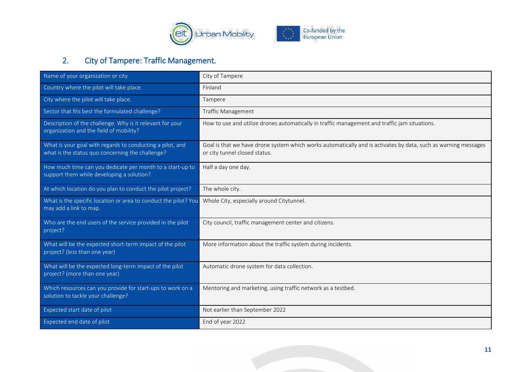

# 2. City of Tampere: Traffic Management.

<span id="page-11-0"></span>

| Name of your organization or city                                                                                                   | City of Tampere                                                                                                                                 |
|-------------------------------------------------------------------------------------------------------------------------------------|-------------------------------------------------------------------------------------------------------------------------------------------------|
| Country where the pilot will take place.                                                                                            | Finland                                                                                                                                         |
| City where the pilot will take place.                                                                                               | Tampere                                                                                                                                         |
| Sector that fits best the formulated challenge?                                                                                     | <b>Traffic Management</b>                                                                                                                       |
| Description of the challenge. Why is it relevant for your<br>organization and the field of mobility?                                | How to use and utilize drones automatically in traffic management and traffic jam situations.                                                   |
| What is your goal with regards to conducting a pilot, and<br>what is the status quo concerning the challenge?                       | Goal is that we have drone system which works automatically and is activates by data, such as warning messages<br>or city tunnel closed status. |
| How much time can you dedicate per month to a start-up to<br>support them while developing a solution?                              | Half a day one day.                                                                                                                             |
| At which location do you plan to conduct the pilot project?                                                                         | The whole city.                                                                                                                                 |
| What is the specific location or area to conduct the pilot? You Whole City, especially around Citytunnel.<br>may add a link to map. |                                                                                                                                                 |
| Who are the end users of the service provided in the pilot<br>project?                                                              | City council, traffic management center and citizens.                                                                                           |
| What will be the expected short-term impact of the pilot<br>project? (less than one year)                                           | More information about the traffic system during incidents.                                                                                     |
| What will be the expected long-term impact of the pilot<br>project? (more than one year)                                            | Automatic drone system for data collection.                                                                                                     |
| Which resources can you provide for start-ups to work on a<br>solution to tackle your challenge?                                    | Mentoring and marketing, using traffic network as a testbed.                                                                                    |
| Expected start date of pilot                                                                                                        | Not earlier than September 2022                                                                                                                 |
| Expected end date of pilot                                                                                                          | End of year 2022                                                                                                                                |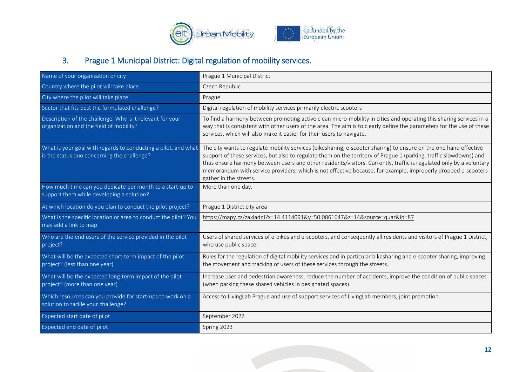

# 3. Prague 1 Municipal District: Digital regulation of mobility services.

<span id="page-12-0"></span>

| Name of your organization or city                                                                             | Prague 1 Municipal District                                                                                                                                                                                                                                                                                                                                                                                                                                                                               |
|---------------------------------------------------------------------------------------------------------------|-----------------------------------------------------------------------------------------------------------------------------------------------------------------------------------------------------------------------------------------------------------------------------------------------------------------------------------------------------------------------------------------------------------------------------------------------------------------------------------------------------------|
| Country where the pilot will take place.                                                                      | Czech Republic                                                                                                                                                                                                                                                                                                                                                                                                                                                                                            |
| City where the pilot will take place.                                                                         | Prague                                                                                                                                                                                                                                                                                                                                                                                                                                                                                                    |
| Sector that fits best the formulated challenge?                                                               | Digital regulation of mobility services primarily electric scooters                                                                                                                                                                                                                                                                                                                                                                                                                                       |
| Description of the challenge. Why is it relevant for your<br>organization and the field of mobility?          | To find a harmony between promoting active clean micro-mobility in cities and operating this sharing services in a<br>way that is consistent with other users of the area. The aim is to clearly define the parameters for the use of these<br>services, which will also make it easier for their users to navigate.                                                                                                                                                                                      |
| What is your goal with regards to conducting a pilot, and what<br>is the status quo concerning the challenge? | The city wants to regulate mobility services (bikesharing, e-scooter sharing) to ensure on the one hand effective<br>support of these services, but also to regulate them on the territory of Prague 1 (parking, traffic slowdowns) and<br>thus ensure harmony between users and other residents/visitors. Currently, traffic is regulated only by a voluntary<br>memorandum with service providers, which is not effective because, for example, improperly dropped e-scooters<br>gather in the streets. |
| How much time can you dedicate per month to a start-up to<br>support them while developing a solution?        | More than one day.                                                                                                                                                                                                                                                                                                                                                                                                                                                                                        |
|                                                                                                               |                                                                                                                                                                                                                                                                                                                                                                                                                                                                                                           |
| At which location do you plan to conduct the pilot project?                                                   | Prague 1 District city area                                                                                                                                                                                                                                                                                                                                                                                                                                                                               |
| What is the specific location or area to conduct the pilot? You<br>may add a link to map.                     | https://mapy.cz/zakladni?x=14.4114091&y=50.0861647&z=14&source=quar&id=87                                                                                                                                                                                                                                                                                                                                                                                                                                 |
| Who are the end users of the service provided in the pilot<br>project?                                        | Users of shared services of e-bikes and e-scooters, and consequently all residents and visitors of Prague 1 District,<br>who use public space.                                                                                                                                                                                                                                                                                                                                                            |
| What will be the expected short-term impact of the pilot<br>project? (less than one year)                     | Rules for the regulation of digital mobility services and in particular bikesharing and e-scooter sharing, improving<br>the movement and tracking of users of these services through the streets.                                                                                                                                                                                                                                                                                                         |
| What will be the expected long-term impact of the pilot<br>project? (more than one year)                      | Increase user and pedestrian awareness, reduce the number of accidents, improve the condition of public spaces<br>(when parking these shared vehicles in designated spaces).                                                                                                                                                                                                                                                                                                                              |
| Which resources can you provide for start-ups to work on a<br>solution to tackle your challenge?              | Access to LivingLab Prague and use of support services of LivingLab members, joint promotion.                                                                                                                                                                                                                                                                                                                                                                                                             |
| Expected start date of pilot                                                                                  | September 2022                                                                                                                                                                                                                                                                                                                                                                                                                                                                                            |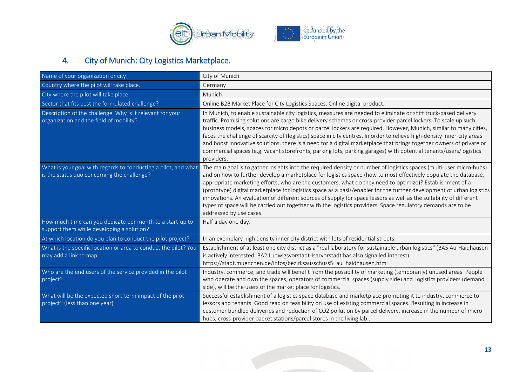

# 4. City of Munich: City Logistics Marketplace.

<span id="page-13-0"></span>

| Name of your organization or city                                                                             | City of Munich                                                                                                                                                                                                                                                                                                                                                                                                                                                                                                                                                                                                                                                                                                                                |
|---------------------------------------------------------------------------------------------------------------|-----------------------------------------------------------------------------------------------------------------------------------------------------------------------------------------------------------------------------------------------------------------------------------------------------------------------------------------------------------------------------------------------------------------------------------------------------------------------------------------------------------------------------------------------------------------------------------------------------------------------------------------------------------------------------------------------------------------------------------------------|
| Country where the pilot will take place.                                                                      | Germany                                                                                                                                                                                                                                                                                                                                                                                                                                                                                                                                                                                                                                                                                                                                       |
| City where the pilot will take place.                                                                         | Munich                                                                                                                                                                                                                                                                                                                                                                                                                                                                                                                                                                                                                                                                                                                                        |
| Sector that fits best the formulated challenge?                                                               | Online B2B Market Place for City Logistics Spaces, Online digital product.                                                                                                                                                                                                                                                                                                                                                                                                                                                                                                                                                                                                                                                                    |
| Description of the challenge. Why is it relevant for your<br>organization and the field of mobility?          | In Munich, to enable sustainable city logistics, measures are needed to eliminate or shift truck-based delivery<br>traffic. Promising solutions are cargo bike delivery schemes or cross-provider parcel lockers. To scale up such<br>business models, spaces for micro depots or parcel lockers are required. However, Munich, similar to many cities,<br>faces the challenge of scarcity of (logistics) space in city centres. In order to relieve high-density inner-city areas<br>and boost innovative solutions, there is a need for a digital marketplace that brings together owners of private or<br>commercial spaces (e.g. vacant storefronts, parking lots, parking garages) with potential tenants/users/logistics<br>providers.  |
| What is your goal with regards to conducting a pilot, and what<br>is the status quo concerning the challenge? | The main goal is to gather insights into the required density or number of logistics spaces (multi-user micro-hubs)<br>and on how to further develop a marketplace for logistics space (how to most effectively populate the database,<br>appropriate marketing efforts, who are the customers, what do they need to optimize)? Establishment of a<br>(prototype) digital marketplace for logistics space as a basis/enabler for the further development of urban logistics<br>innovations. An evaluation of different sources of supply for space lessors as well as the suitability of different<br>types of space will be carried out together with the logistics providers. Space regulatory demands are to be<br>addressed by use cases. |
| How much time can you dedicate per month to a start-up to<br>support them while developing a solution?        | Half a day one day.                                                                                                                                                                                                                                                                                                                                                                                                                                                                                                                                                                                                                                                                                                                           |
| At which location do you plan to conduct the pilot project?                                                   | In an exemplary high density inner city district with lots of residential streets.                                                                                                                                                                                                                                                                                                                                                                                                                                                                                                                                                                                                                                                            |
| What is the specific location or area to conduct the pilot? You<br>may add a link to map.                     | Establishment of at least one city district as a "real laboratory for sustainable urban logistics" (BA5 Au-Haidhausen<br>is actively interested, BA2 Ludwigsvorstadt-Isarvorstadt has also signalled interest).<br>https://stadt.muenchen.de/infos/bezirksausschuss5_au_haidhausen.html                                                                                                                                                                                                                                                                                                                                                                                                                                                       |
| Who are the end users of the service provided in the pilot<br>project?                                        | Industry, commerce, and trade will benefit from the possibility of marketing (temporarily) unused areas. People<br>who operate and own the spaces, operators of commercial spaces (supply side) and Logistics providers (demand<br>side), will be the users of the market place for logistics.                                                                                                                                                                                                                                                                                                                                                                                                                                                |
| What will be the expected short-term impact of the pilot<br>project? (less than one year)                     | Successful establishment of a logistics space database and marketplace promoting it to industry, commerce to<br>lessors and tenants. Good read on feasibility on use of existing commercial spaces. Resulting in increase in<br>customer bundled deliveries and reduction of CO2 pollution by parcel delivery, increase in the number of micro<br>hubs, cross-provider packet stations/parcel stores in the living lab                                                                                                                                                                                                                                                                                                                        |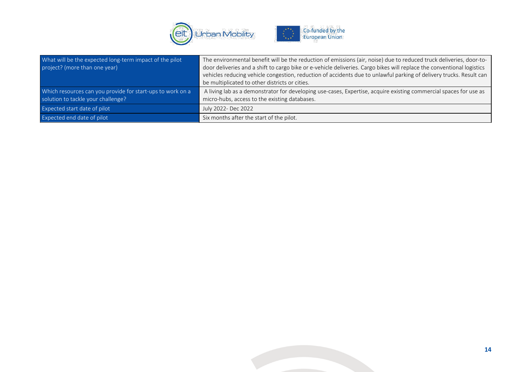

| What will be the expected long-term impact of the pilot    | The environmental benefit will be the reduction of emissions (air, noise) due to reduced truck deliveries, door-to-    |
|------------------------------------------------------------|------------------------------------------------------------------------------------------------------------------------|
| project? (more than one year)                              | door deliveries and a shift to cargo bike or e-vehicle deliveries. Cargo bikes will replace the conventional logistics |
|                                                            | vehicles reducing vehicle congestion, reduction of accidents due to unlawful parking of delivery trucks. Result can    |
|                                                            | be multiplicated to other districts or cities.                                                                         |
| Which resources can you provide for start-ups to work on a | A living lab as a demonstrator for developing use-cases, Expertise, acquire existing commercial spaces for use as      |
| solution to tackle your challenge?                         | micro-hubs, access to the existing databases.                                                                          |
| Expected start date of pilot                               | July 2022- Dec 2022                                                                                                    |
| Expected end date of pilot                                 | Six months after the start of the pilot.                                                                               |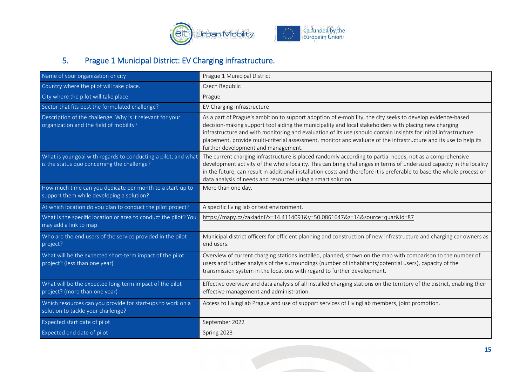

### 5. Prague 1 Municipal District: EV Charging infrastructure.

<span id="page-15-0"></span>

| Name of your organization or city                                                                             | Prague 1 Municipal District                                                                                                                                                                                                                                                                                                                                                                                                                                                                         |
|---------------------------------------------------------------------------------------------------------------|-----------------------------------------------------------------------------------------------------------------------------------------------------------------------------------------------------------------------------------------------------------------------------------------------------------------------------------------------------------------------------------------------------------------------------------------------------------------------------------------------------|
| Country where the pilot will take place.                                                                      | Czech Republic                                                                                                                                                                                                                                                                                                                                                                                                                                                                                      |
| City where the pilot will take place.                                                                         | Prague                                                                                                                                                                                                                                                                                                                                                                                                                                                                                              |
| Sector that fits best the formulated challenge?                                                               | EV Charging infrastructure                                                                                                                                                                                                                                                                                                                                                                                                                                                                          |
| Description of the challenge. Why is it relevant for your<br>organization and the field of mobility?          | As a part of Prague's ambition to support adoption of e-mobility, the city seeks to develop evidence-based<br>decision-making support tool aiding the municipality and local stakeholders with placing new charging<br>infrastructure and with monitoring and evaluation of its use (should contain insights for initial infrastructure<br>placement, provide multi-criterial assessment, monitor and evaluate of the infrastructure and its use to help its<br>further development and management. |
| What is your goal with regards to conducting a pilot, and what<br>is the status quo concerning the challenge? | The current charging infrastructure is placed randomly according to partial needs, not as a comprehensive<br>development activity of the whole locality. This can bring challenges in terms of undersized capacity in the locality<br>in the future, can result in additional installation costs and therefore it is preferable to base the whole process on<br>data analysis of needs and resources using a smart solution.                                                                        |
| How much time can you dedicate per month to a start-up to<br>support them while developing a solution?        | More than one day.                                                                                                                                                                                                                                                                                                                                                                                                                                                                                  |
| At which location do you plan to conduct the pilot project?                                                   | A specific living lab or test environment.                                                                                                                                                                                                                                                                                                                                                                                                                                                          |
| What is the specific location or area to conduct the pilot? You<br>may add a link to map.                     | https://mapy.cz/zakladni?x=14.4114091&y=50.0861647&z=14&source=quar&id=87                                                                                                                                                                                                                                                                                                                                                                                                                           |
| Who are the end users of the service provided in the pilot<br>project?                                        | Municipal district officers for efficient planning and construction of new infrastructure and charging car owners as<br>end users.                                                                                                                                                                                                                                                                                                                                                                  |
| What will be the expected short-term impact of the pilot<br>project? (less than one year)                     | Overview of current charging stations installed, planned, shown on the map with comparison to the number of<br>users and further analysis of the surroundings (number of inhabitants/potential users), capacity of the<br>transmission system in the locations with regard to further development.                                                                                                                                                                                                  |
| What will be the expected long-term impact of the pilot<br>project? (more than one year)                      | Effective overview and data analysis of all installed charging stations on the territory of the district, enabling their<br>effective management and administration.                                                                                                                                                                                                                                                                                                                                |
| Which resources can you provide for start-ups to work on a<br>solution to tackle your challenge?              | Access to LivingLab Prague and use of support services of LivingLab members, joint promotion.                                                                                                                                                                                                                                                                                                                                                                                                       |
| Expected start date of pilot                                                                                  | September 2022                                                                                                                                                                                                                                                                                                                                                                                                                                                                                      |
| Expected end date of pilot                                                                                    | Spring 2023                                                                                                                                                                                                                                                                                                                                                                                                                                                                                         |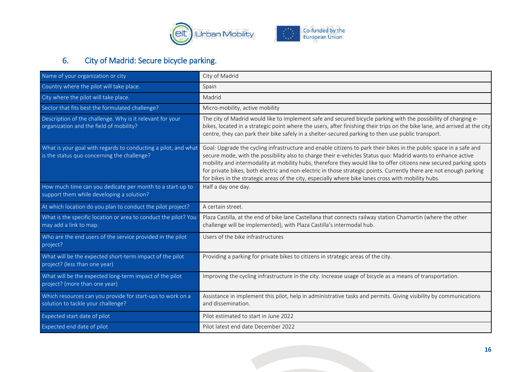

# 6. City of Madrid: Secure bicycle parking.

<span id="page-16-0"></span>

| Name of your organization or city                                                                             | City of Madrid                                                                                                                                                                                                                                                                                                                                                                                                                                                                                                                                                                         |
|---------------------------------------------------------------------------------------------------------------|----------------------------------------------------------------------------------------------------------------------------------------------------------------------------------------------------------------------------------------------------------------------------------------------------------------------------------------------------------------------------------------------------------------------------------------------------------------------------------------------------------------------------------------------------------------------------------------|
| Country where the pilot will take place.                                                                      | Spain                                                                                                                                                                                                                                                                                                                                                                                                                                                                                                                                                                                  |
| City where the pilot will take place.                                                                         | Madrid                                                                                                                                                                                                                                                                                                                                                                                                                                                                                                                                                                                 |
| Sector that fits best the formulated challenge?                                                               | Micro-mobility, active mobility                                                                                                                                                                                                                                                                                                                                                                                                                                                                                                                                                        |
| Description of the challenge. Why is it relevant for your<br>organization and the field of mobility?          | The city of Madrid would like to implement safe and secured bicycle parking with the possibility of charging e-<br>bikes, located in a strategic point where the users, after finishing their trips on the bike lane, and arrived at the city<br>centre, they can park their bike safely in a shelter-secured parking to then use public transport.                                                                                                                                                                                                                                    |
| What is your goal with regards to conducting a pilot, and what<br>is the status quo concerning the challenge? | Goal: Upgrade the cycling infrastructure and enable citizens to park their bikes in the public space in a safe and<br>secure mode, with the possibility also to charge their e-vehicles Status quo: Madrid wants to enhance active<br>mobility and intermodality at mobility hubs, therefore they would like to offer citizens new secured parking spots<br>for private bikes, both electric and non-electric in those strategic points. Currently there are not enough parking<br>for bikes in the strategic areas of the city, especially where bike lanes cross with mobility hubs. |
| How much time can you dedicate per month to a start-up to<br>support them while developing a solution?        | Half a day one day.                                                                                                                                                                                                                                                                                                                                                                                                                                                                                                                                                                    |
| At which location do you plan to conduct the pilot project?                                                   | A certain street.                                                                                                                                                                                                                                                                                                                                                                                                                                                                                                                                                                      |
| What is the specific location or area to conduct the pilot? You<br>may add a link to map.                     | Plaza Castilla, at the end of bike lane Castellana that connects railway station Chamartin (where the other<br>challenge will be implemented), with Plaza Castilla's intermodal hub.                                                                                                                                                                                                                                                                                                                                                                                                   |
| Who are the end users of the service provided in the pilot<br>project?                                        | Users of the bike infrastructures                                                                                                                                                                                                                                                                                                                                                                                                                                                                                                                                                      |
| What will be the expected short-term impact of the pilot<br>project? (less than one year)                     | Providing a parking for private bikes to citizens in strategic areas of the city.                                                                                                                                                                                                                                                                                                                                                                                                                                                                                                      |
| What will be the expected long-term impact of the pilot<br>project? (more than one year)                      | Improving the cycling infrastructure in the city. Increase usage of bicycle as a means of transportation.                                                                                                                                                                                                                                                                                                                                                                                                                                                                              |
| Which resources can you provide for start-ups to work on a<br>solution to tackle your challenge?              | Assistance in implement this pilot, help in administrative tasks and permits. Giving visibility by communications<br>and dissemination.                                                                                                                                                                                                                                                                                                                                                                                                                                                |
| Expected start date of pilot                                                                                  | Pilot estimated to start in June 2022                                                                                                                                                                                                                                                                                                                                                                                                                                                                                                                                                  |
| Expected end date of pilot                                                                                    | Pilot latest end date December 2022                                                                                                                                                                                                                                                                                                                                                                                                                                                                                                                                                    |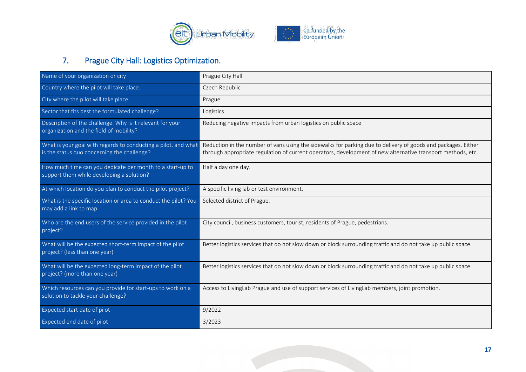

### 7. Prague City Hall: Logistics Optimization.

<span id="page-17-0"></span>

| Name of your organization or city                                                                             | Prague City Hall                                                                                                                                                                                                             |
|---------------------------------------------------------------------------------------------------------------|------------------------------------------------------------------------------------------------------------------------------------------------------------------------------------------------------------------------------|
| Country where the pilot will take place.                                                                      | Czech Republic                                                                                                                                                                                                               |
| City where the pilot will take place.                                                                         | Prague                                                                                                                                                                                                                       |
| Sector that fits best the formulated challenge?                                                               | Logistics                                                                                                                                                                                                                    |
| Description of the challenge. Why is it relevant for your<br>organization and the field of mobility?          | Reducing negative impacts from urban logistics on public space                                                                                                                                                               |
| What is your goal with regards to conducting a pilot, and what<br>is the status quo concerning the challenge? | Reduction in the number of vans using the sidewalks for parking due to delivery of goods and packages. Either<br>through appropriate regulation of current operators, development of new alternative transport methods, etc. |
| How much time can you dedicate per month to a start-up to<br>support them while developing a solution?        | Half a day one day.                                                                                                                                                                                                          |
| At which location do you plan to conduct the pilot project?                                                   | A specific living lab or test environment.                                                                                                                                                                                   |
| What is the specific location or area to conduct the pilot? You<br>may add a link to map.                     | Selected district of Prague.                                                                                                                                                                                                 |
| Who are the end users of the service provided in the pilot<br>project?                                        | City council, business customers, tourist, residents of Prague, pedestrians.                                                                                                                                                 |
| What will be the expected short-term impact of the pilot<br>project? (less than one year)                     | Better logistics services that do not slow down or block surrounding traffic and do not take up public space.                                                                                                                |
| What will be the expected long-term impact of the pilot<br>project? (more than one year)                      | Better logistics services that do not slow down or block surrounding traffic and do not take up public space.                                                                                                                |
| Which resources can you provide for start-ups to work on a<br>solution to tackle your challenge?              | Access to LivingLab Prague and use of support services of LivingLab members, joint promotion.                                                                                                                                |
| Expected start date of pilot                                                                                  | 9/2022                                                                                                                                                                                                                       |
| Expected end date of pilot                                                                                    | 3/2023                                                                                                                                                                                                                       |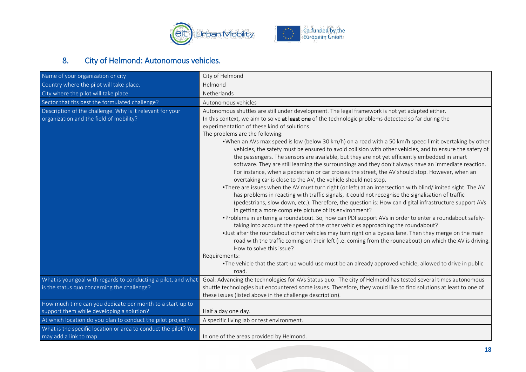

# 8. City of Helmond: Autonomous vehicles.

<span id="page-18-0"></span>

| Name of your organization or city                                                                      | City of Helmond                                                                                                                                                                                                                                                                                                                                                                                                                                                                                                                                                                                                                                                                                                                                                                                                                                                                                                                                                                                                                                                                                                                                                                                                                                                                                                                                                                                                                                                                                                                                                                                                                                                                                                                                                                                                                                                         |
|--------------------------------------------------------------------------------------------------------|-------------------------------------------------------------------------------------------------------------------------------------------------------------------------------------------------------------------------------------------------------------------------------------------------------------------------------------------------------------------------------------------------------------------------------------------------------------------------------------------------------------------------------------------------------------------------------------------------------------------------------------------------------------------------------------------------------------------------------------------------------------------------------------------------------------------------------------------------------------------------------------------------------------------------------------------------------------------------------------------------------------------------------------------------------------------------------------------------------------------------------------------------------------------------------------------------------------------------------------------------------------------------------------------------------------------------------------------------------------------------------------------------------------------------------------------------------------------------------------------------------------------------------------------------------------------------------------------------------------------------------------------------------------------------------------------------------------------------------------------------------------------------------------------------------------------------------------------------------------------------|
| Country where the pilot will take place.                                                               | Helmond                                                                                                                                                                                                                                                                                                                                                                                                                                                                                                                                                                                                                                                                                                                                                                                                                                                                                                                                                                                                                                                                                                                                                                                                                                                                                                                                                                                                                                                                                                                                                                                                                                                                                                                                                                                                                                                                 |
| City where the pilot will take place.                                                                  | Netherlands                                                                                                                                                                                                                                                                                                                                                                                                                                                                                                                                                                                                                                                                                                                                                                                                                                                                                                                                                                                                                                                                                                                                                                                                                                                                                                                                                                                                                                                                                                                                                                                                                                                                                                                                                                                                                                                             |
| Sector that fits best the formulated challenge?                                                        | Autonomous vehicles                                                                                                                                                                                                                                                                                                                                                                                                                                                                                                                                                                                                                                                                                                                                                                                                                                                                                                                                                                                                                                                                                                                                                                                                                                                                                                                                                                                                                                                                                                                                                                                                                                                                                                                                                                                                                                                     |
| Description of the challenge. Why is it relevant for your<br>organization and the field of mobility?   | Autonomous shuttles are still under development. The legal framework is not yet adapted either.<br>In this context, we aim to solve at least one of the technologic problems detected so far during the<br>experimentation of these kind of solutions.<br>The problems are the following:<br>. When an AVs max speed is low (below 30 km/h) on a road with a 50 km/h speed limit overtaking by other<br>vehicles, the safety must be ensured to avoid collision with other vehicles, and to ensure the safety of<br>the passengers. The sensors are available, but they are not yet efficiently embedded in smart<br>software. They are still learning the surroundings and they don't always have an immediate reaction.<br>For instance, when a pedestrian or car crosses the street, the AV should stop. However, when an<br>overtaking car is close to the AV, the vehicle should not stop.<br>•There are issues when the AV must turn right (or left) at an intersection with blind/limited sight. The AV<br>has problems in reacting with traffic signals, it could not recognise the signalisation of traffic<br>(pedestrians, slow down, etc.). Therefore, the question is: How can digital infrastructure support AVs<br>in getting a more complete picture of its environment?<br>• Problems in entering a roundabout. So, how can PDI support AVs in order to enter a roundabout safely-<br>taking into account the speed of the other vehicles approaching the roundabout?<br>• Just after the roundabout other vehicles may turn right on a bypass lane. Then they merge on the main<br>road with the traffic coming on their left (i.e. coming from the roundabout) on which the AV is driving.<br>How to solve this issue?<br>Requirements:<br>• The vehicle that the start-up would use must be an already approved vehicle, allowed to drive in public |
| What is your goal with regards to conducting a pilot, and what                                         | road.<br>Goal: Advancing the technologies for AVs Status quo: The city of Helmond has tested several times autonomous                                                                                                                                                                                                                                                                                                                                                                                                                                                                                                                                                                                                                                                                                                                                                                                                                                                                                                                                                                                                                                                                                                                                                                                                                                                                                                                                                                                                                                                                                                                                                                                                                                                                                                                                                   |
| is the status quo concerning the challenge?                                                            | shuttle technologies but encountered some issues. Therefore, they would like to find solutions at least to one of<br>these issues (listed above in the challenge description).                                                                                                                                                                                                                                                                                                                                                                                                                                                                                                                                                                                                                                                                                                                                                                                                                                                                                                                                                                                                                                                                                                                                                                                                                                                                                                                                                                                                                                                                                                                                                                                                                                                                                          |
| How much time can you dedicate per month to a start-up to<br>support them while developing a solution? | Half a day one day.                                                                                                                                                                                                                                                                                                                                                                                                                                                                                                                                                                                                                                                                                                                                                                                                                                                                                                                                                                                                                                                                                                                                                                                                                                                                                                                                                                                                                                                                                                                                                                                                                                                                                                                                                                                                                                                     |
| At which location do you plan to conduct the pilot project?                                            | A specific living lab or test environment.                                                                                                                                                                                                                                                                                                                                                                                                                                                                                                                                                                                                                                                                                                                                                                                                                                                                                                                                                                                                                                                                                                                                                                                                                                                                                                                                                                                                                                                                                                                                                                                                                                                                                                                                                                                                                              |
| What is the specific location or area to conduct the pilot? You<br>may add a link to map.              | In one of the areas provided by Helmond.                                                                                                                                                                                                                                                                                                                                                                                                                                                                                                                                                                                                                                                                                                                                                                                                                                                                                                                                                                                                                                                                                                                                                                                                                                                                                                                                                                                                                                                                                                                                                                                                                                                                                                                                                                                                                                |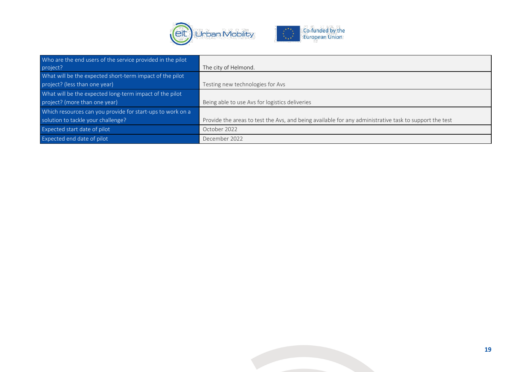

| Who are the end users of the service provided in the pilot |                                                                                                        |
|------------------------------------------------------------|--------------------------------------------------------------------------------------------------------|
| project?                                                   | The city of Helmond.                                                                                   |
| What will be the expected short-term impact of the pilot   |                                                                                                        |
| project? (less than one year)                              | Testing new technologies for Avs                                                                       |
| What will be the expected long-term impact of the pilot    |                                                                                                        |
| project? (more than one year)                              | Being able to use Avs for logistics deliveries                                                         |
| Which resources can you provide for start-ups to work on a |                                                                                                        |
| solution to tackle your challenge?                         | Provide the areas to test the Avs, and being available for any administrative task to support the test |
| Expected start date of pilot                               | October 2022                                                                                           |
| Expected end date of pilot                                 | December 2022                                                                                          |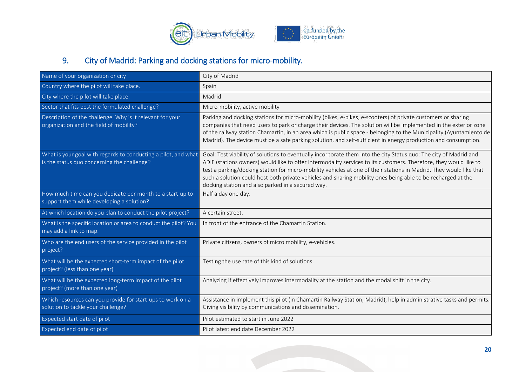

# 9. City of Madrid: Parking and docking stations for micro-mobility.

<span id="page-20-0"></span>

| Name of your organization or city                                                                             | City of Madrid                                                                                                                                                                                                                                                                                                                                                                                                                                                                                                                     |  |
|---------------------------------------------------------------------------------------------------------------|------------------------------------------------------------------------------------------------------------------------------------------------------------------------------------------------------------------------------------------------------------------------------------------------------------------------------------------------------------------------------------------------------------------------------------------------------------------------------------------------------------------------------------|--|
| Country where the pilot will take place.                                                                      | Spain                                                                                                                                                                                                                                                                                                                                                                                                                                                                                                                              |  |
| City where the pilot will take place.                                                                         | Madrid                                                                                                                                                                                                                                                                                                                                                                                                                                                                                                                             |  |
| Sector that fits best the formulated challenge?                                                               | Micro-mobility, active mobility                                                                                                                                                                                                                                                                                                                                                                                                                                                                                                    |  |
| Description of the challenge. Why is it relevant for your<br>organization and the field of mobility?          | Parking and docking stations for micro-mobility (bikes, e-bikes, e-scooters) of private customers or sharing<br>companies that need users to park or charge their devices. The solution will be implemented in the exterior zone<br>of the railway station Chamartin, in an area which is public space - belonging to the Municipality (Ayuntamiento de<br>Madrid). The device must be a safe parking solution, and self-sufficient in energy production and consumption.                                                          |  |
| What is your goal with regards to conducting a pilot, and what<br>is the status quo concerning the challenge? | Goal: Test viability of solutions to eventually incorporate them into the city Status quo: The city of Madrid and<br>ADIF (stations owners) would like to offer intermodality services to its customers. Therefore, they would like to<br>test a parking/docking station for micro-mobility vehicles at one of their stations in Madrid. They would like that<br>such a solution could host both private vehicles and sharing mobility ones being able to be recharged at the<br>docking station and also parked in a secured way. |  |
| How much time can you dedicate per month to a start-up to<br>support them while developing a solution?        | Half a day one day.                                                                                                                                                                                                                                                                                                                                                                                                                                                                                                                |  |
| At which location do you plan to conduct the pilot project?                                                   | A certain street.                                                                                                                                                                                                                                                                                                                                                                                                                                                                                                                  |  |
| What is the specific location or area to conduct the pilot? You<br>may add a link to map.                     | In front of the entrance of the Chamartin Station.                                                                                                                                                                                                                                                                                                                                                                                                                                                                                 |  |
| Who are the end users of the service provided in the pilot<br>project?                                        | Private citizens, owners of micro mobility, e-vehicles.                                                                                                                                                                                                                                                                                                                                                                                                                                                                            |  |
| What will be the expected short-term impact of the pilot<br>project? (less than one year)                     | Testing the use rate of this kind of solutions.                                                                                                                                                                                                                                                                                                                                                                                                                                                                                    |  |
| What will be the expected long-term impact of the pilot<br>project? (more than one year)                      | Analyzing if effectively improves intermodality at the station and the modal shift in the city.                                                                                                                                                                                                                                                                                                                                                                                                                                    |  |
| Which resources can you provide for start-ups to work on a<br>solution to tackle your challenge?              | Assistance in implement this pilot (in Chamartin Railway Station, Madrid), help in administrative tasks and permits.<br>Giving visibility by communications and dissemination.                                                                                                                                                                                                                                                                                                                                                     |  |
| Expected start date of pilot                                                                                  | Pilot estimated to start in June 2022                                                                                                                                                                                                                                                                                                                                                                                                                                                                                              |  |
| Expected end date of pilot                                                                                    | Pilot latest end date December 2022                                                                                                                                                                                                                                                                                                                                                                                                                                                                                                |  |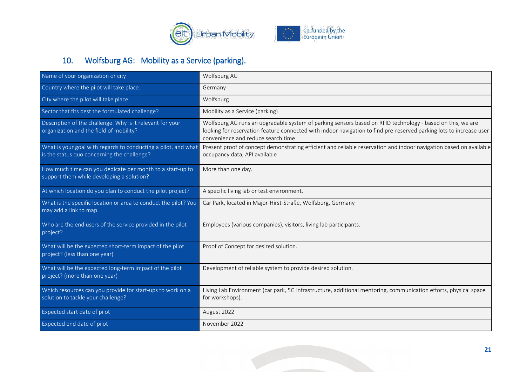

# 10. Wolfsburg AG: Mobility as a Service (parking).

<span id="page-21-0"></span>

| Name of your organization or city                                                                             | Wolfsburg AG                                                                                                                                                                                                                                                            |
|---------------------------------------------------------------------------------------------------------------|-------------------------------------------------------------------------------------------------------------------------------------------------------------------------------------------------------------------------------------------------------------------------|
| Country where the pilot will take place.                                                                      | Germany                                                                                                                                                                                                                                                                 |
| City where the pilot will take place.                                                                         | Wolfsburg                                                                                                                                                                                                                                                               |
| Sector that fits best the formulated challenge?                                                               | Mobility as a Service (parking)                                                                                                                                                                                                                                         |
| Description of the challenge. Why is it relevant for your<br>organization and the field of mobility?          | Wolfsburg AG runs an upgradable system of parking sensors based on RFID technology - based on this, we are<br>looking for reservation feature connected with indoor navigation to find pre-reserved parking lots to increase user<br>convenience and reduce search time |
| What is your goal with regards to conducting a pilot, and what<br>is the status quo concerning the challenge? | Present proof of concept demonstrating efficient and reliable reservation and indoor navigation based on available<br>occupancy data; API available                                                                                                                     |
| How much time can you dedicate per month to a start-up to<br>support them while developing a solution?        | More than one day.                                                                                                                                                                                                                                                      |
| At which location do you plan to conduct the pilot project?                                                   | A specific living lab or test environment.                                                                                                                                                                                                                              |
| What is the specific location or area to conduct the pilot? You<br>may add a link to map.                     | Car Park, located in Major-Hirst-Straße, Wolfsburg, Germany                                                                                                                                                                                                             |
| Who are the end users of the service provided in the pilot<br>project?                                        | Employees (various companies), visitors, living lab participants.                                                                                                                                                                                                       |
| What will be the expected short-term impact of the pilot<br>project? (less than one year)                     | Proof of Concept for desired solution.                                                                                                                                                                                                                                  |
| What will be the expected long-term impact of the pilot<br>project? (more than one year)                      | Development of reliable system to provide desired solution.                                                                                                                                                                                                             |
| Which resources can you provide for start-ups to work on a<br>solution to tackle your challenge?              | Living Lab Environment (car park, 5G infrastructure, additional mentoring, communication efforts, physical space<br>for workshops).                                                                                                                                     |
| Expected start date of pilot                                                                                  | August 2022                                                                                                                                                                                                                                                             |
| Expected end date of pilot                                                                                    | November 2022                                                                                                                                                                                                                                                           |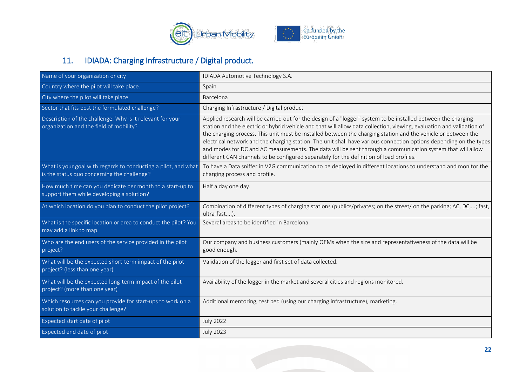

# 11. IDIADA: Charging Infrastructure / Digital product.

<span id="page-22-0"></span>

| Name of your organization or city                                                                             | IDIADA Automotive Technology S.A.                                                                                                                                                                                                                                                                                                                                                                                                                                                                                                                                                                                                                                                      |
|---------------------------------------------------------------------------------------------------------------|----------------------------------------------------------------------------------------------------------------------------------------------------------------------------------------------------------------------------------------------------------------------------------------------------------------------------------------------------------------------------------------------------------------------------------------------------------------------------------------------------------------------------------------------------------------------------------------------------------------------------------------------------------------------------------------|
| Country where the pilot will take place.                                                                      | Spain                                                                                                                                                                                                                                                                                                                                                                                                                                                                                                                                                                                                                                                                                  |
| City where the pilot will take place.                                                                         | Barcelona                                                                                                                                                                                                                                                                                                                                                                                                                                                                                                                                                                                                                                                                              |
| Sector that fits best the formulated challenge?                                                               | Charging Infrastructure / Digital product                                                                                                                                                                                                                                                                                                                                                                                                                                                                                                                                                                                                                                              |
| Description of the challenge. Why is it relevant for your<br>organization and the field of mobility?          | Applied research will be carried out for the design of a "logger" system to be installed between the charging<br>station and the electric or hybrid vehicle and that will allow data collection, viewing, evaluation and validation of<br>the charging process. This unit must be installed between the charging station and the vehicle or between the<br>electrical network and the charging station. The unit shall have various connection options depending on the types<br>and modes for DC and AC measurements. The data will be sent through a communication system that will allow<br>different CAN channels to be configured separately for the definition of load profiles. |
| What is your goal with regards to conducting a pilot, and what<br>is the status quo concerning the challenge? | To have a Data sniffer in V2G communication to be deployed in different locations to understand and monitor the<br>charging process and profile.                                                                                                                                                                                                                                                                                                                                                                                                                                                                                                                                       |
| How much time can you dedicate per month to a start-up to<br>support them while developing a solution?        | Half a day one day.                                                                                                                                                                                                                                                                                                                                                                                                                                                                                                                                                                                                                                                                    |
| At which location do you plan to conduct the pilot project?                                                   | Combination of different types of charging stations (publics/privates; on the street/ on the parking; AC, DC,; fast,<br>ultra-fast,).                                                                                                                                                                                                                                                                                                                                                                                                                                                                                                                                                  |
| What is the specific location or area to conduct the pilot? You<br>may add a link to map.                     | Several areas to be identified in Barcelona.                                                                                                                                                                                                                                                                                                                                                                                                                                                                                                                                                                                                                                           |
| Who are the end users of the service provided in the pilot<br>project?                                        | Our company and business customers (mainly OEMs when the size and representativeness of the data will be<br>good enough.                                                                                                                                                                                                                                                                                                                                                                                                                                                                                                                                                               |
| What will be the expected short-term impact of the pilot<br>project? (less than one year)                     | Validation of the logger and first set of data collected.                                                                                                                                                                                                                                                                                                                                                                                                                                                                                                                                                                                                                              |
| What will be the expected long-term impact of the pilot<br>project? (more than one year)                      | Availability of the logger in the market and several cities and regions monitored.                                                                                                                                                                                                                                                                                                                                                                                                                                                                                                                                                                                                     |
| Which resources can you provide for start-ups to work on a<br>solution to tackle your challenge?              | Additional mentoring, test bed (using our charging infrastructure), marketing.                                                                                                                                                                                                                                                                                                                                                                                                                                                                                                                                                                                                         |
| <b>Expected start date of pilot</b>                                                                           | <b>July 2022</b>                                                                                                                                                                                                                                                                                                                                                                                                                                                                                                                                                                                                                                                                       |
| Expected end date of pilot                                                                                    | <b>July 2023</b>                                                                                                                                                                                                                                                                                                                                                                                                                                                                                                                                                                                                                                                                       |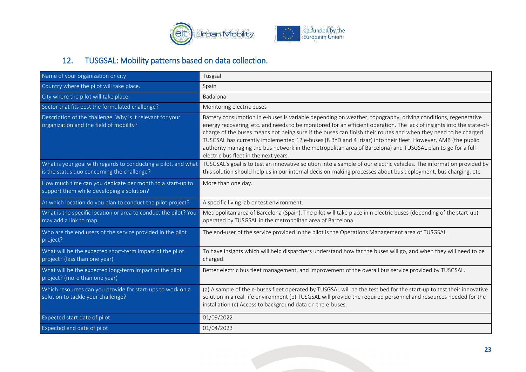

# 12. TUSGSAL: Mobility patterns based on data collection.

<span id="page-23-0"></span>

| Name of your organization or city                                                                             | Tusgsal                                                                                                                                                                                                                                                                                                                                                                                                                                                                                                                                                                                                                           |
|---------------------------------------------------------------------------------------------------------------|-----------------------------------------------------------------------------------------------------------------------------------------------------------------------------------------------------------------------------------------------------------------------------------------------------------------------------------------------------------------------------------------------------------------------------------------------------------------------------------------------------------------------------------------------------------------------------------------------------------------------------------|
| Country where the pilot will take place.                                                                      | Spain                                                                                                                                                                                                                                                                                                                                                                                                                                                                                                                                                                                                                             |
| City where the pilot will take place.                                                                         | Badalona                                                                                                                                                                                                                                                                                                                                                                                                                                                                                                                                                                                                                          |
| Sector that fits best the formulated challenge?                                                               | Monitoring electric buses                                                                                                                                                                                                                                                                                                                                                                                                                                                                                                                                                                                                         |
| Description of the challenge. Why is it relevant for your<br>organization and the field of mobility?          | Battery consumption in e-buses is variable depending on weather, topography, driving conditions, regenerative<br>energy recovering, etc. and needs to be monitored for an efficient operation. The lack of insights into the state-of-<br>charge of the buses means not being sure if the buses can finish their routes and when they need to be charged.<br>TUSGSAL has currently implemented 12 e-buses (8 BYD and 4 Irizar) into their fleet. However, AMB (the public<br>authority managing the bus network in the metropolitan area of Barcelona) and TUSGSAL plan to go for a full<br>electric bus fleet in the next years. |
| What is your goal with regards to conducting a pilot, and what<br>is the status quo concerning the challenge? | TUSGSAL's goal is to test an innovative solution into a sample of our electric vehicles. The information provided by<br>this solution should help us in our internal decision-making processes about bus deployment, bus charging, etc.                                                                                                                                                                                                                                                                                                                                                                                           |
| How much time can you dedicate per month to a start-up to<br>support them while developing a solution?        | More than one day.                                                                                                                                                                                                                                                                                                                                                                                                                                                                                                                                                                                                                |
| At which location do you plan to conduct the pilot project?                                                   | A specific living lab or test environment.                                                                                                                                                                                                                                                                                                                                                                                                                                                                                                                                                                                        |
| What is the specific location or area to conduct the pilot? You<br>may add a link to map.                     | Metropolitan area of Barcelona (Spain). The pilot will take place in n electric buses (depending of the start-up)<br>operated by TUSGSAL in the metropolitan area of Barcelona.                                                                                                                                                                                                                                                                                                                                                                                                                                                   |
| Who are the end users of the service provided in the pilot<br>project?                                        | The end-user of the service provided in the pilot is the Operations Management area of TUSGSAL.                                                                                                                                                                                                                                                                                                                                                                                                                                                                                                                                   |
| What will be the expected short-term impact of the pilot<br>project? (less than one year)                     | To have insights which will help dispatchers understand how far the buses will go, and when they will need to be<br>charged.                                                                                                                                                                                                                                                                                                                                                                                                                                                                                                      |
| What will be the expected long-term impact of the pilot<br>project? (more than one year)                      | Better electric bus fleet management, and improvement of the overall bus service provided by TUSGSAL.                                                                                                                                                                                                                                                                                                                                                                                                                                                                                                                             |
| Which resources can you provide for start-ups to work on a<br>solution to tackle your challenge?              | (a) A sample of the e-buses fleet operated by TUSGSAL will be the test bed for the start-up to test their innovative<br>solution in a real-life environment (b) TUSGSAL will provide the required personnel and resources needed for the<br>installation (c) Access to background data on the e-buses.                                                                                                                                                                                                                                                                                                                            |
| Expected start date of pilot                                                                                  | 01/09/2022                                                                                                                                                                                                                                                                                                                                                                                                                                                                                                                                                                                                                        |
| Expected end date of pilot                                                                                    | 01/04/2023                                                                                                                                                                                                                                                                                                                                                                                                                                                                                                                                                                                                                        |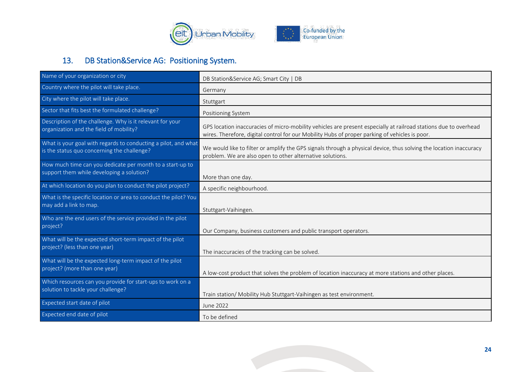

### 13. DB Station&Service AG: Positioning System.

<span id="page-24-0"></span>

| Name of your organization or city                                                                             | DB Station&Service AG; Smart City   DB                                                                                                                                                                             |
|---------------------------------------------------------------------------------------------------------------|--------------------------------------------------------------------------------------------------------------------------------------------------------------------------------------------------------------------|
| Country where the pilot will take place.                                                                      | Germany                                                                                                                                                                                                            |
| City where the pilot will take place.                                                                         | Stuttgart                                                                                                                                                                                                          |
| Sector that fits best the formulated challenge?                                                               | Positioning System                                                                                                                                                                                                 |
| Description of the challenge. Why is it relevant for your<br>organization and the field of mobility?          | GPS location inaccuracies of micro-mobility vehicles are present especially at railroad stations due to overhead<br>wires. Therefore, digital control for our Mobility Hubs of proper parking of vehicles is poor. |
| What is your goal with regards to conducting a pilot, and what<br>is the status quo concerning the challenge? | We would like to filter or amplify the GPS signals through a physical device, thus solving the location inaccuracy<br>problem. We are also open to other alternative solutions.                                    |
| How much time can you dedicate per month to a start-up to<br>support them while developing a solution?        | More than one day.                                                                                                                                                                                                 |
| At which location do you plan to conduct the pilot project?                                                   | A specific neighbourhood.                                                                                                                                                                                          |
| What is the specific location or area to conduct the pilot? You<br>may add a link to map.                     | Stuttgart-Vaihingen.                                                                                                                                                                                               |
| Who are the end users of the service provided in the pilot<br>project?                                        | Our Company, business customers and public transport operators.                                                                                                                                                    |
| What will be the expected short-term impact of the pilot<br>project? (less than one year)                     | The inaccuracies of the tracking can be solved.                                                                                                                                                                    |
| What will be the expected long-term impact of the pilot<br>project? (more than one year)                      | A low-cost product that solves the problem of location inaccuracy at more stations and other places.                                                                                                               |
| Which resources can you provide for start-ups to work on a<br>solution to tackle your challenge?              | Train station/ Mobility Hub Stuttgart-Vaihingen as test environment.                                                                                                                                               |
| Expected start date of pilot                                                                                  | June 2022                                                                                                                                                                                                          |
| Expected end date of pilot                                                                                    | To be defined                                                                                                                                                                                                      |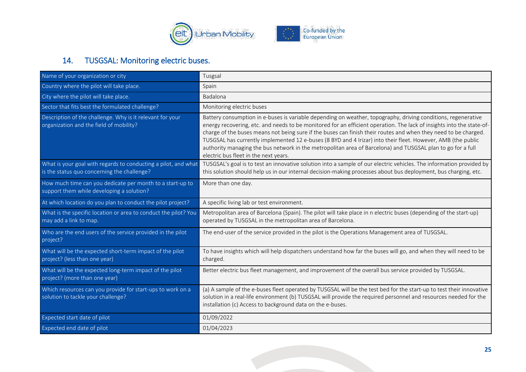

### 14. TUSGSAL: Monitoring electric buses.

<span id="page-25-0"></span>

| Name of your organization or city                                                                             | Tusgsal                                                                                                                                                                                                                                                                                                                                                                                                                                                                                                                                                                                                                           |
|---------------------------------------------------------------------------------------------------------------|-----------------------------------------------------------------------------------------------------------------------------------------------------------------------------------------------------------------------------------------------------------------------------------------------------------------------------------------------------------------------------------------------------------------------------------------------------------------------------------------------------------------------------------------------------------------------------------------------------------------------------------|
| Country where the pilot will take place.                                                                      | Spain                                                                                                                                                                                                                                                                                                                                                                                                                                                                                                                                                                                                                             |
| City where the pilot will take place.                                                                         | Badalona                                                                                                                                                                                                                                                                                                                                                                                                                                                                                                                                                                                                                          |
| Sector that fits best the formulated challenge?                                                               | Monitoring electric buses                                                                                                                                                                                                                                                                                                                                                                                                                                                                                                                                                                                                         |
| Description of the challenge. Why is it relevant for your<br>organization and the field of mobility?          | Battery consumption in e-buses is variable depending on weather, topography, driving conditions, regenerative<br>energy recovering, etc. and needs to be monitored for an efficient operation. The lack of insights into the state-of-<br>charge of the buses means not being sure if the buses can finish their routes and when they need to be charged.<br>TUSGSAL has currently implemented 12 e-buses (8 BYD and 4 Irizar) into their fleet. However, AMB (the public<br>authority managing the bus network in the metropolitan area of Barcelona) and TUSGSAL plan to go for a full<br>electric bus fleet in the next years. |
| What is your goal with regards to conducting a pilot, and what<br>is the status quo concerning the challenge? | TUSGSAL's goal is to test an innovative solution into a sample of our electric vehicles. The information provided by<br>this solution should help us in our internal decision-making processes about bus deployment, bus charging, etc.                                                                                                                                                                                                                                                                                                                                                                                           |
| How much time can you dedicate per month to a start-up to<br>support them while developing a solution?        | More than one day.                                                                                                                                                                                                                                                                                                                                                                                                                                                                                                                                                                                                                |
| At which location do you plan to conduct the pilot project?                                                   | A specific living lab or test environment.                                                                                                                                                                                                                                                                                                                                                                                                                                                                                                                                                                                        |
| What is the specific location or area to conduct the pilot? You<br>may add a link to map.                     | Metropolitan area of Barcelona (Spain). The pilot will take place in n electric buses (depending of the start-up)<br>operated by TUSGSAL in the metropolitan area of Barcelona.                                                                                                                                                                                                                                                                                                                                                                                                                                                   |
| Who are the end users of the service provided in the pilot<br>project?                                        | The end-user of the service provided in the pilot is the Operations Management area of TUSGSAL.                                                                                                                                                                                                                                                                                                                                                                                                                                                                                                                                   |
| What will be the expected short-term impact of the pilot<br>project? (less than one year)                     | To have insights which will help dispatchers understand how far the buses will go, and when they will need to be<br>charged.                                                                                                                                                                                                                                                                                                                                                                                                                                                                                                      |
| What will be the expected long-term impact of the pilot<br>project? (more than one year)                      | Better electric bus fleet management, and improvement of the overall bus service provided by TUSGSAL.                                                                                                                                                                                                                                                                                                                                                                                                                                                                                                                             |
| Which resources can you provide for start-ups to work on a<br>solution to tackle your challenge?              | (a) A sample of the e-buses fleet operated by TUSGSAL will be the test bed for the start-up to test their innovative<br>solution in a real-life environment (b) TUSGSAL will provide the required personnel and resources needed for the<br>installation (c) Access to background data on the e-buses.                                                                                                                                                                                                                                                                                                                            |
| Expected start date of pilot                                                                                  | 01/09/2022                                                                                                                                                                                                                                                                                                                                                                                                                                                                                                                                                                                                                        |
| Expected end date of pilot                                                                                    | 01/04/2023                                                                                                                                                                                                                                                                                                                                                                                                                                                                                                                                                                                                                        |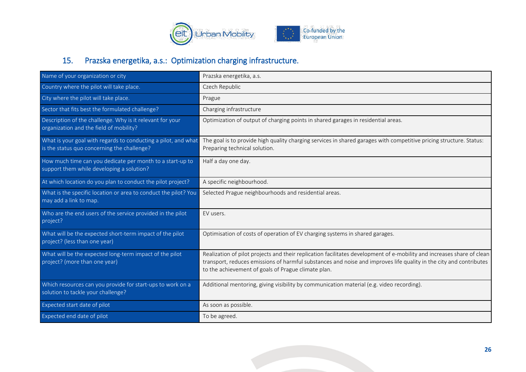

# 15. Prazska energetika, a.s.: Optimization charging infrastructure.

<span id="page-26-0"></span>

| Name of your organization or city                                                                             | Prazska energetika, a.s.                                                                                                                                                                                                                                                                            |
|---------------------------------------------------------------------------------------------------------------|-----------------------------------------------------------------------------------------------------------------------------------------------------------------------------------------------------------------------------------------------------------------------------------------------------|
| Country where the pilot will take place.                                                                      | Czech Republic                                                                                                                                                                                                                                                                                      |
| City where the pilot will take place.                                                                         | Prague                                                                                                                                                                                                                                                                                              |
| Sector that fits best the formulated challenge?                                                               | Charging infrastructure                                                                                                                                                                                                                                                                             |
| Description of the challenge. Why is it relevant for your<br>organization and the field of mobility?          | Optimization of output of charging points in shared garages in residential areas.                                                                                                                                                                                                                   |
| What is your goal with regards to conducting a pilot, and what<br>is the status quo concerning the challenge? | The goal is to provide high quality charging services in shared garages with competitive pricing structure. Status:<br>Preparing technical solution.                                                                                                                                                |
| How much time can you dedicate per month to a start-up to<br>support them while developing a solution?        | Half a day one day.                                                                                                                                                                                                                                                                                 |
| At which location do you plan to conduct the pilot project?                                                   | A specific neighbourhood.                                                                                                                                                                                                                                                                           |
| What is the specific location or area to conduct the pilot? You<br>may add a link to map.                     | Selected Prague neighbourhoods and residential areas.                                                                                                                                                                                                                                               |
| Who are the end users of the service provided in the pilot<br>project?                                        | EV users.                                                                                                                                                                                                                                                                                           |
| What will be the expected short-term impact of the pilot<br>project? (less than one year)                     | Optimisation of costs of operation of EV charging systems in shared garages.                                                                                                                                                                                                                        |
| What will be the expected long-term impact of the pilot<br>project? (more than one year)                      | Realization of pilot projects and their replication facilitates development of e-mobility and increases share of clean<br>transport, reduces emissions of harmful substances and noise and improves life quality in the city and contributes<br>to the achievement of goals of Prague climate plan. |
| Which resources can you provide for start-ups to work on a<br>solution to tackle your challenge?              | Additional mentoring, giving visibility by communication material (e.g. video recording).                                                                                                                                                                                                           |
| Expected start date of pilot                                                                                  | As soon as possible.                                                                                                                                                                                                                                                                                |
| Expected end date of pilot                                                                                    | To be agreed.                                                                                                                                                                                                                                                                                       |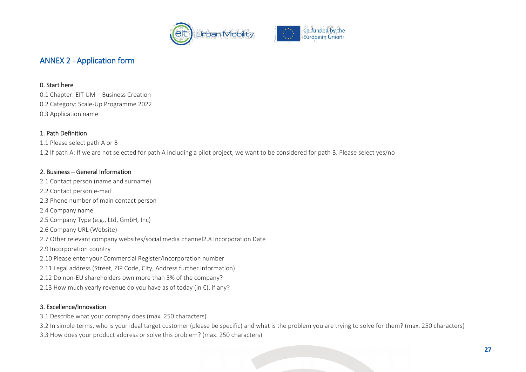

### ANNEX 2 - Application form

#### 0. Start here

0.1 Chapter: EIT UM – Business Creation 0.2 Category: Scale-Up Programme 2022 0.3 Application name

#### 1. Path Definition

1.1 Please select path A or B

1.2 If path A: If we are not selected for path A including a pilot project, we want to be considered for path B. Please select yes/no

#### 2. Business – General Information

- 2.1 Contact person (name and surname)
- 2.2 Contact person e-mail
- 2.3 Phone number of main contact person

<span id="page-27-0"></span>2.4 Company name

- 2.5 Company Type (e.g., Ltd, GmbH, Inc)
- 2.6 Company URL (Website)
- 2.7 Other relevant company websites/social media channel2.8 Incorporation Date
- 2.9 Incorporation country
- 2.10 Please enter your Commercial Register/Incorporation number
- 2.11 Legal address (Street, ZIP Code, City, Address further information)
- 2.12 Do non-EU shareholders own more than 5% of the company?
- 2.13 How much yearly revenue do you have as of today (in  $\epsilon$ ), if any?

#### 3. Excellence/Innovation

- 3.1 Describe what your company does (max. 250 characters)
- 3.2 In simple terms, who is your ideal target customer (please be specific) and what is the problem you are trying to solve for them? (max. 250 characters)
- 3.3 How does your product address or solve this problem? (max. 250 characters)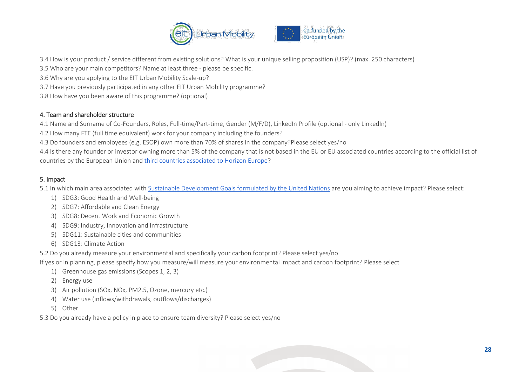

3.4 How is your product / service different from existing solutions? What is your unique selling proposition (USP)? (max. 250 characters)

- 3.5 Who are your main competitors? Name at least three please be specific.
- 3.6 Why are you applying to the EIT Urban Mobility Scale-up?
- 3.7 Have you previously participated in any other EIT Urban Mobility programme?
- 3.8 How have you been aware of this programme? (optional)

#### 4. Team and shareholder structure

4.1 Name and Surname of Co-Founders, Roles, Full-time/Part-time, Gender (M/F/D), LinkedIn Profile (optional - only LinkedIn)

- 4.2 How many FTE (full time equivalent) work for your company including the founders?
- 4.3 Do founders and employees (e.g. ESOP) own more than 70% of shares in the company?Please select yes/no

4.4 Is there any founder or investor owning more than 5% of the company that is not based in the EU or EU associated countries according to the official list of countries by the European Union and [third countries associated to Horizon Europe?](https://ec.europa.eu/info/funding-tenders/opportunities/docs/2021-2027/common/guidance/list-3rd-country-participation_horizon-euratom_en.pdf)

#### 5. Impact

5.1 In which main area associated with [Sustainable Development Goals formulated by the United Nations](https://sdgs.un.org/goals) are you aiming to achieve impact? Please select:

- 1) SDG3: Good Health and Well-being
- 2) SDG7: Affordable and Clean Energy
- 3) SDG8: Decent Work and Economic Growth
- 4) SDG9: Industry, Innovation and Infrastructure
- 5) SDG11: Sustainable cities and communities
- 6) SDG13: Climate Action
- 5.2 Do you already measure your environmental and specifically your carbon footprint? Please select yes/no

If yes or in planning, please specify how you measure/will measure your environmental impact and carbon footprint? Please select

- 1) Greenhouse gas emissions (Scopes 1, 2, 3)
- 2) Energy use
- 3) Air pollution (SOx, NOx, PM2.5, Ozone, mercury etc.)
- 4) Water use (inflows/withdrawals, outflows/discharges)
- 5) Other
- 5.3 Do you already have a policy in place to ensure team diversity? Please select yes/no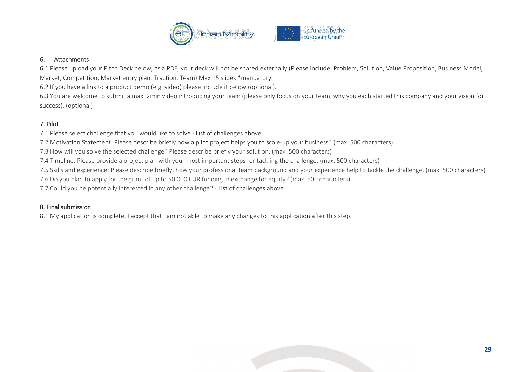

#### 6. Attachments

6.1 Please upload your Pitch Deck below, as a PDF, your deck will not be shared externally (Please include: Problem, Solution, Value Proposition, Business Model, Market, Competition, Market entry plan, Traction, Team) Max 15 slides \*mandatory

6.2 If you have a link to a product demo (e.g. video) please include it below (optional).

6.3 You are welcome to submit a max. 2min video introducing your team (please only focus on your team, why you each started this company and your vision for success). (optional)

#### 7. Pilot

7.1 Please select challenge that you would like to solve - List of challenges above.

7.2 Motivation Statement: Please describe briefly how a pilot project helps you to scale-up your business? (max. 500 characters)

7.3 How will you solve the selected challenge? Please describe briefly your solution. (max. 500 characters)

7.4 Timeline: Please provide a project plan with your most important steps for tackling the challenge. (max. 500 characters)

7.5 Skills and experience: Please describe briefly, how your professional team background and your experience help to tackle the challenge. (max. 500 characters)

7.6 Do you plan to apply for the grant of up to 50.000 EUR funding in exchange for equity? (max. 500 characters)

7.7 Could you be potentially interested in any other challenge? - List of challenges above.

#### 8. Final submission

8.1 My application is complete. I accept that I am not able to make any changes to this application after this step.